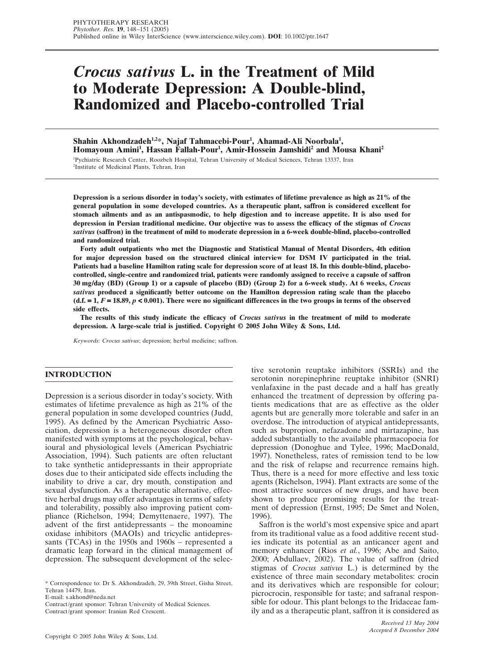# *Crocus sativus* **L. in the Treatment of Mild to Moderate Depression: A Double-blind, Randomized and Placebo-controlled Trial**

Shahin Akhondzadeh<sup>1,2</sup>\*, Najaf Tahmacebi-Pour<sup>1</sup>, Ahamad-Ali Noorbala<sup>1</sup>, **Homayoun Amini1 , Hassan Fallah-Pour1 , Amir-Hossein Jamshidi2 and Mousa Khani2** 1 Pychiatric Research Center, Roozbeh Hospital, Tehran University of Medical Sciences, Tehran 13337, Iran

2 Institute of Medicinal Plants, Tehran, Iran

**Depression is a serious disorder in today's society, with estimates of lifetime prevalence as high as 21% of the general population in some developed countries. As a therapeutic plant, saffron is considered excellent for stomach ailments and as an antispasmodic, to help digestion and to increase appetite. It is also used for depression in Persian traditional medicine. Our objective was to assess the efficacy of the stigmas of** *Crocus sativus* **(saffron) in the treatment of mild to moderate depression in a 6-week double-blind, placebo-controlled and randomized trial.**

**Forty adult outpatients who met the Diagnostic and Statistical Manual of Mental Disorders, 4th edition for major depression based on the structured clinical interview for DSM IV participated in the trial. Patients had a baseline Hamilton rating scale for depression score of at least 18. In this double-blind, placebocontrolled, single-centre and randomized trial, patients were randomly assigned to receive a capsule of saffron 30 mg/day (BD) (Group 1) or a capsule of placebo (BD) (Group 2) for a 6-week study. At 6 weeks,** *Crocus sativus* **produced a significantly better outcome on the Hamilton depression rating scale than the placebo**  $(d.f. = 1, F = 18.89, p < 0.001)$ . There were no significant differences in the two groups in terms of the observed **side effects.**

**The results of this study indicate the efficacy of** *Crocus sativus* **in the treatment of mild to moderate depression. A large-scale trial is justified. Copyright © 2005 John Wiley & Sons, Ltd.**

*Keywords: Crocus sativus*; depression; herbal medicine; saffron.

## **INTRODUCTION**

Depression is a serious disorder in today's society. With estimates of lifetime prevalence as high as 21% of the general population in some developed countries (Judd, 1995). As defined by the American Psychiatric Association, depression is a heterogeneous disorder often manifested with symptoms at the psychological, behavioural and physiological levels (American Psychiatric Association, 1994). Such patients are often reluctant to take synthetic antidepressants in their appropriate doses due to their anticipated side effects including the inability to drive a car, dry mouth, constipation and sexual dysfunction. As a therapeutic alternative, effective herbal drugs may offer advantages in terms of safety and tolerability, possibly also improving patient compliance (Richelson, 1994; Demyttenaere, 1997). The advent of the first antidepressants – the monoamine oxidase inhibitors (MAOIs) and tricyclic antidepressants (TCAs) in the 1950s and 1960s – represented a dramatic leap forward in the clinical management of depression. The subsequent development of the selec-

E-mail: s.akhond@neda.net

Contract/grant sponsor: Tehran University of Medical Sciences.

Contract/grant sponsor: Iranian Red Crescent.

tive serotonin reuptake inhibitors (SSRIs) and the serotonin norepinephrine reuptake inhibitor (SNRI) venlafaxine in the past decade and a half has greatly enhanced the treatment of depression by offering patients medications that are as effective as the older agents but are generally more tolerable and safer in an overdose. The introduction of atypical antidepressants, such as bupropion, nefazadone and mirtazapine, has added substantially to the available pharmacopoeia for depression (Donoghue and Tylee, 1996; MacDonald, 1997). Nonetheless, rates of remission tend to be low and the risk of relapse and recurrence remains high. Thus, there is a need for more effective and less toxic agents (Richelson, 1994). Plant extracts are some of the most attractive sources of new drugs, and have been shown to produce promising results for the treatment of depression (Ernst, 1995; De Smet and Nolen, 1996).

Saffron is the world's most expensive spice and apart from its traditional value as a food additive recent studies indicate its potential as an anticancer agent and memory enhancer (Rios *et al.*, 1996; Abe and Saito, 2000; Abdullaev, 2002). The value of saffron (dried stigmas of *Crocus sativus* L.) is determined by the existence of three main secondary metabolites: crocin and its derivatives which are responsible for colour; picrocrocin, responsible for taste; and safranal responsible for odour. This plant belongs to the Iridaceae family and as a therapeutic plant, saffron it is considered as

<sup>\*</sup> Correspondence to: Dr S. Akhondzadeh, 29, 39th Street, Gisha Street, Tehran 14479, Iran.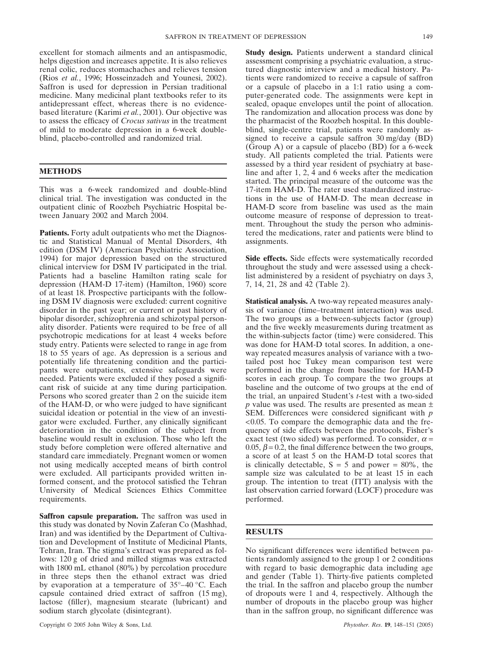excellent for stomach ailments and an antispasmodic, helps digestion and increases appetite. It is also relieves renal colic, reduces stomachaches and relieves tension (Rios *et al.*, 1996; Hosseinzadeh and Younesi, 2002). Saffron is used for depression in Persian traditional medicine. Many medicinal plant textbooks refer to its antidepressant effect, whereas there is no evidencebased literature (Karimi *et al.*, 2001). Our objective was to assess the efficacy of *Crocus sativus* in the treatment of mild to moderate depression in a 6-week doubleblind, placebo-controlled and randomized trial.

### **METHODS**

This was a 6-week randomized and double-blind clinical trial. The investigation was conducted in the outpatient clinic of Roozbeh Psychiatric Hospital between January 2002 and March 2004.

Patients. Forty adult outpatients who met the Diagnostic and Statistical Manual of Mental Disorders, 4th edition (DSM IV) (American Psychiatric Association, 1994) for major depression based on the structured clinical interview for DSM IV participated in the trial. Patients had a baseline Hamilton rating scale for depression (HAM-D 17-item) (Hamilton, 1960) score of at least 18. Prospective participants with the following DSM IV diagnosis were excluded: current cognitive disorder in the past year; or current or past history of bipolar disorder, schizophrenia and schizotypal personality disorder. Patients were required to be free of all psychotropic medications for at least 4 weeks before study entry. Patients were selected to range in age from 18 to 55 years of age. As depression is a serious and potentially life threatening condition and the participants were outpatients, extensive safeguards were needed. Patients were excluded if they posed a significant risk of suicide at any time during participation. Persons who scored greater than 2 on the suicide item of the HAM-D, or who were judged to have significant suicidal ideation or potential in the view of an investigator were excluded. Further, any clinically significant deterioration in the condition of the subject from baseline would result in exclusion. Those who left the study before completion were offered alternative and standard care immediately. Pregnant women or women not using medically accepted means of birth control were excluded. All participants provided written informed consent, and the protocol satisfied the Tehran University of Medical Sciences Ethics Committee requirements.

**Saffron capsule preparation.** The saffron was used in this study was donated by Novin Zaferan Co (Mashhad, Iran) and was identified by the Department of Cultivation and Development of Institute of Medicinal Plants, Tehran, Iran. The stigma's extract was prepared as follows: 120 g of dried and milled stigmas was extracted with 1800 mL ethanol (80%) by percolation procedure in three steps then the ethanol extract was dried by evaporation at a temperature of 35°–40 °C. Each capsule contained dried extract of saffron (15 mg), lactose (filler), magnesium stearate (lubricant) and sodium starch glycolate (disintegrant).

**Study design.** Patients underwent a standard clinical assessment comprising a psychiatric evaluation, a structured diagnostic interview and a medical history. Patients were randomized to receive a capsule of saffron or a capsule of placebo in a 1:1 ratio using a computer-generated code. The assignments were kept in sealed, opaque envelopes until the point of allocation. The randomization and allocation process was done by the pharmacist of the Roozbeh hospital. In this doubleblind, single-centre trial, patients were randomly assigned to receive a capsule saffron 30 mg/day (BD) (Group A) or a capsule of placebo (BD) for a 6-week study. All patients completed the trial. Patients were assessed by a third year resident of psychiatry at baseline and after 1, 2, 4 and 6 weeks after the medication started. The principal measure of the outcome was the 17-item HAM-D. The rater used standardized instructions in the use of HAM-D. The mean decrease in HAM-D score from baseline was used as the main outcome measure of response of depression to treatment. Throughout the study the person who administered the medications, rater and patients were blind to assignments.

**Side effects.** Side effects were systematically recorded throughout the study and were assessed using a checklist administered by a resident of psychiatry on days 3, 7, 14, 21, 28 and 42 (Table 2).

**Statistical analysis.** A two-way repeated measures analysis of variance (time–treatment interaction) was used. The two groups as a between-subjects factor (group) and the five weekly measurements during treatment as the within-subjects factor (time) were considered. This was done for HAM-D total scores. In addition, a oneway repeated measures analysis of variance with a twotailed post hoc Tukey mean comparison test were performed in the change from baseline for HAM-D scores in each group. To compare the two groups at baseline and the outcome of two groups at the end of the trial, an unpaired Student's *t*-test with a two-sided *p* value was used. The results are presented as mean ± SEM. Differences were considered significant with *p* <0.05. To compare the demographic data and the frequency of side effects between the protocols, Fisher's exact test (two sided) was performed. To consider,  $\alpha$  = 0.05,  $\beta$  = 0.2, the final difference between the two groups, a score of at least 5 on the HAM-D total scores that is clinically detectable,  $S = 5$  and power = 80%, the sample size was calculated to be at least 15 in each group. The intention to treat (ITT) analysis with the last observation carried forward (LOCF) procedure was performed.

## **RESULTS**

No significant differences were identified between patients randomly assigned to the group 1 or 2 conditions with regard to basic demographic data including age and gender (Table 1). Thirty-five patients completed the trial. In the saffron and placebo group the number of dropouts were 1 and 4, respectively. Although the number of dropouts in the placebo group was higher than in the saffron group, no significant difference was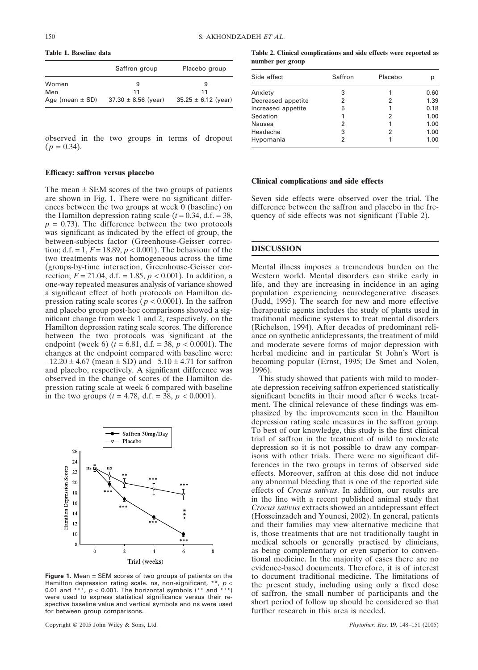**Table 1. Baseline data**

|                     | Saffron group           | Placebo group           |  |
|---------------------|-------------------------|-------------------------|--|
| Women               | 9                       | 9                       |  |
| Men                 | 11                      | 11                      |  |
| Age (mean $\pm$ SD) | $37.30 \pm 8.56$ (year) | $35.25 \pm 6.12$ (year) |  |

observed in the two groups in terms of dropout  $(p = 0.34)$ .

## **Efficacy: saffron versus placebo**

The mean  $\pm$  SEM scores of the two groups of patients are shown in Fig. 1. There were no significant differences between the two groups at week 0 (baseline) on the Hamilton depression rating scale  $(t = 0.34, d.f. = 38,$  $p = 0.73$ ). The difference between the two protocols was significant as indicated by the effect of group, the between-subjects factor (Greenhouse-Geisser correction; d.f. = 1,  $F = 18.89$ ,  $p < 0.001$ ). The behaviour of the two treatments was not homogeneous across the time (groups-by-time interaction, Greenhouse-Geisser correction;  $F = 21.04$ , d.f. = 1.85,  $p < 0.001$ ). In addition, a one-way repeated measures analysis of variance showed a significant effect of both protocols on Hamilton depression rating scale scores ( $p < 0.0001$ ). In the saffron and placebo group post-hoc comparisons showed a significant change from week 1 and 2, respectively, on the Hamilton depression rating scale scores. The difference between the two protocols was significant at the endpoint (week 6) ( $\bar{t}$  = 6.81, d.f. = 38,  $p < 0.0001$ ). The changes at the endpoint compared with baseline were:  $-12.20 \pm 4.67$  (mean  $\pm$  SD) and  $-5.10 \pm 4.71$  for saffron and placebo, respectively. A significant difference was observed in the change of scores of the Hamilton depression rating scale at week 6 compared with baseline in the two groups ( $t = 4.78$ , d.f. = 38,  $p < 0.0001$ ).



**Figure 1.** Mean ± SEM scores of two groups of patients on the Hamilton depression rating scale. ns, non-significant, \*\*,  $p$  < 0.01 and \*\*\*,  $p < 0.001$ . The horizontal symbols (\*\* and \*\*\*) were used to express statistical significance versus their respective baseline value and vertical symbols and ns were used for between group comparisons.

Copyright © 2005 John Wiley & Sons, Ltd. *Phytother. Res*. **19**, 148–151 (2005)

**Table 2. Clinical complications and side effects were reported as number per group**

| Side effect        | Saffron | Placebo |      |
|--------------------|---------|---------|------|
| Anxiety            | 3       |         | 0.60 |
| Decreased appetite | 2       | 2       | 1.39 |
| Increased appetite | 5       |         | 0.18 |
| Sedation           | 1       | 2       | 1.00 |
| Nausea             | 2       |         | 1.00 |
| Headache           | 3       | 2       | 1.00 |
| Hypomania          | 2       |         | 1.00 |

#### **Clinical complications and side effects**

Seven side effects were observed over the trial. The difference between the saffron and placebo in the frequency of side effects was not significant (Table 2).

#### **DISCUSSION**

Mental illness imposes a tremendous burden on the Western world. Mental disorders can strike early in life, and they are increasing in incidence in an aging population experiencing neurodegenerative diseases (Judd, 1995). The search for new and more effective therapeutic agents includes the study of plants used in traditional medicine systems to treat mental disorders (Richelson, 1994). After decades of predominant reliance on synthetic antidepressants, the treatment of mild and moderate severe forms of major depression with herbal medicine and in particular St John's Wort is becoming popular (Ernst, 1995; De Smet and Nolen, 1996).

This study showed that patients with mild to moderate depression receiving saffron experienced statistically significant benefits in their mood after 6 weeks treatment. The clinical relevance of these findings was emphasized by the improvements seen in the Hamilton depression rating scale measures in the saffron group. To best of our knowledge, this study is the first clinical trial of saffron in the treatment of mild to moderate depression so it is not possible to draw any comparisons with other trials. There were no significant differences in the two groups in terms of observed side effects. Moreover, saffron at this dose did not induce any abnormal bleeding that is one of the reported side effects of *Crocus sativus*. In addition, our results are in the line with a recent published animal study that *Crocus sativus* extracts showed an antidepressant effect (Hosseinzadeh and Younesi, 2002). In general, patients and their families may view alternative medicine that is, those treatments that are not traditionally taught in medical schools or generally practised by clinicians, as being complementary or even superior to conventional medicine. In the majority of cases there are no evidence-based documents. Therefore, it is of interest to document traditional medicine. The limitations of the present study, including using only a fixed dose of saffron, the small number of participants and the short period of follow up should be considered so that further research in this area is needed.